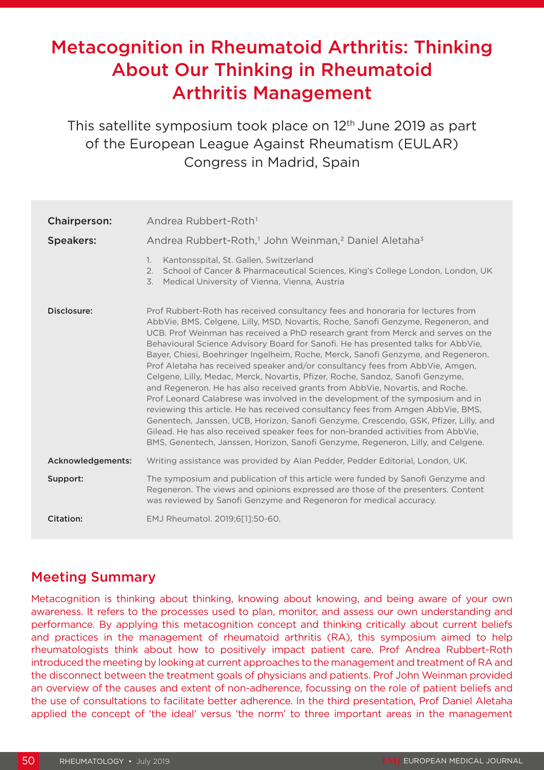# Metacognition in Rheumatoid Arthritis: Thinking About Our Thinking in Rheumatoid Arthritis Management

This satellite symposium took place on 12<sup>th</sup> June 2019 as part of the European League Against Rheumatism (EULAR) Congress in Madrid, Spain

| <b>Chairperson:</b> | Andrea Rubbert-Roth <sup>1</sup>                                                                                                                                                                                                                                                                                                                                                                                                                                                                                                                                                                                                                                                                                                                                                                                                                                                                                                                                                                                                                                                                                             |
|---------------------|------------------------------------------------------------------------------------------------------------------------------------------------------------------------------------------------------------------------------------------------------------------------------------------------------------------------------------------------------------------------------------------------------------------------------------------------------------------------------------------------------------------------------------------------------------------------------------------------------------------------------------------------------------------------------------------------------------------------------------------------------------------------------------------------------------------------------------------------------------------------------------------------------------------------------------------------------------------------------------------------------------------------------------------------------------------------------------------------------------------------------|
| <b>Speakers:</b>    | Andrea Rubbert-Roth, <sup>1</sup> John Weinman, <sup>2</sup> Daniel Aletaha <sup>3</sup>                                                                                                                                                                                                                                                                                                                                                                                                                                                                                                                                                                                                                                                                                                                                                                                                                                                                                                                                                                                                                                     |
|                     | Kantonsspital, St. Gallen, Switzerland<br>1.<br>School of Cancer & Pharmaceutical Sciences, King's College London, London, UK<br>2.<br>$\overline{3}$ .<br>Medical University of Vienna, Vienna, Austria                                                                                                                                                                                                                                                                                                                                                                                                                                                                                                                                                                                                                                                                                                                                                                                                                                                                                                                     |
| Disclosure:         | Prof Rubbert-Roth has received consultancy fees and honoraria for lectures from<br>AbbVie, BMS, Celgene, Lilly, MSD, Novartis, Roche, Sanofi Genzyme, Regeneron, and<br>UCB. Prof Weinman has received a PhD research grant from Merck and serves on the<br>Behavioural Science Advisory Board for Sanofi. He has presented talks for AbbVie,<br>Bayer, Chiesi, Boehringer Ingelheim, Roche, Merck, Sanofi Genzyme, and Regeneron.<br>Prof Aletaha has received speaker and/or consultancy fees from AbbVie, Amgen,<br>Celgene, Lilly, Medac, Merck, Novartis, Pfizer, Roche, Sandoz, Sanofi Genzyme,<br>and Regeneron. He has also received grants from AbbVie, Novartis, and Roche.<br>Prof Leonard Calabrese was involved in the development of the symposium and in<br>reviewing this article. He has received consultancy fees from Amgen AbbVie, BMS,<br>Genentech, Janssen, UCB, Horizon, Sanofi Genzyme, Crescendo, GSK, Pfizer, Lilly, and<br>Gilead. He has also received speaker fees for non-branded activities from AbbVie,<br>BMS, Genentech, Janssen, Horizon, Sanofi Genzyme, Regeneron, Lilly, and Celgene. |
| Acknowledgements:   | Writing assistance was provided by Alan Pedder, Pedder Editorial, London, UK.                                                                                                                                                                                                                                                                                                                                                                                                                                                                                                                                                                                                                                                                                                                                                                                                                                                                                                                                                                                                                                                |
| Support:            | The symposium and publication of this article were funded by Sanofi Genzyme and<br>Regeneron. The views and opinions expressed are those of the presenters. Content<br>was reviewed by Sanofi Genzyme and Regeneron for medical accuracy.                                                                                                                                                                                                                                                                                                                                                                                                                                                                                                                                                                                                                                                                                                                                                                                                                                                                                    |
| Citation:           | EMJ Rheumatol. 2019;6[1]:50-60.                                                                                                                                                                                                                                                                                                                                                                                                                                                                                                                                                                                                                                                                                                                                                                                                                                                                                                                                                                                                                                                                                              |

### Meeting Summary

Metacognition is thinking about thinking, knowing about knowing, and being aware of your own awareness. It refers to the processes used to plan, monitor, and assess our own understanding and performance. By applying this metacognition concept and thinking critically about current beliefs and practices in the management of rheumatoid arthritis (RA), this symposium aimed to help rheumatologists think about how to positively impact patient care. Prof Andrea Rubbert-Roth introduced the meeting by looking at current approaches to the management and treatment of RA and the disconnect between the treatment goals of physicians and patients. Prof John Weinman provided an overview of the causes and extent of non-adherence, focussing on the role of patient beliefs and the use of consultations to facilitate better adherence. In the third presentation, Prof Daniel Aletaha applied the concept of 'the ideal' versus 'the norm' to three important areas in the management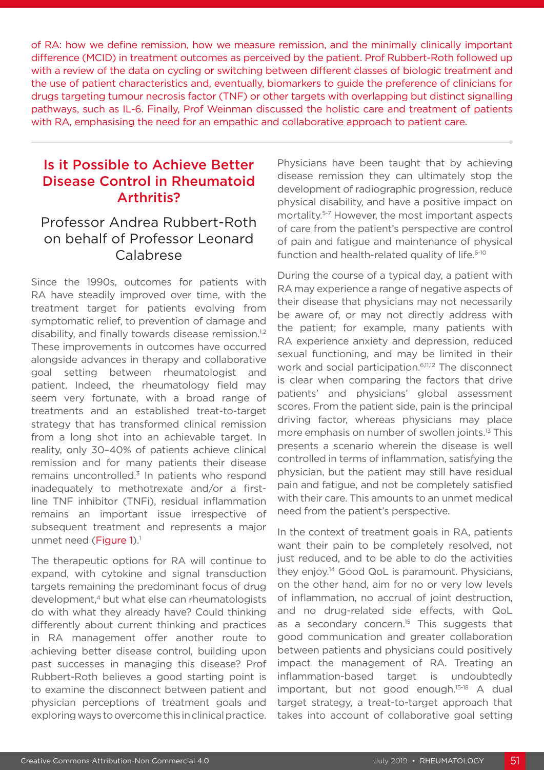of RA: how we define remission, how we measure remission, and the minimally clinically important difference (MCID) in treatment outcomes as perceived by the patient. Prof Rubbert-Roth followed up with a review of the data on cycling or switching between different classes of biologic treatment and the use of patient characteristics and, eventually, biomarkers to guide the preference of clinicians for drugs targeting tumour necrosis factor (TNF) or other targets with overlapping but distinct signalling pathways, such as IL-6. Finally, Prof Weinman discussed the holistic care and treatment of patients with RA, emphasising the need for an empathic and collaborative approach to patient care.

## Is it Possible to Achieve Better Disease Control in Rheumatoid Arthritis?

### Professor Andrea Rubbert-Roth on behalf of Professor Leonard Calabrese

Since the 1990s, outcomes for patients with RA have steadily improved over time, with the treatment target for patients evolving from symptomatic relief, to prevention of damage and disability, and finally towards disease remission.<sup>1,2</sup> These improvements in outcomes have occurred alongside advances in therapy and collaborative goal setting between rheumatologist and patient. Indeed, the rheumatology field may seem very fortunate, with a broad range of treatments and an established treat-to-target strategy that has transformed clinical remission from a long shot into an achievable target. In reality, only 30–40% of patients achieve clinical remission and for many patients their disease remains uncontrolled.<sup>3</sup> In patients who respond inadequately to methotrexate and/or a firstline TNF inhibitor (TNFi), residual inflammation remains an important issue irrespective of subsequent treatment and represents a major unmet need (Figure  $1$ ).<sup>1</sup>

The therapeutic options for RA will continue to expand, with cytokine and signal transduction targets remaining the predominant focus of drug development,4 but what else can rheumatologists do with what they already have? Could thinking differently about current thinking and practices in RA management offer another route to achieving better disease control, building upon past successes in managing this disease? Prof Rubbert-Roth believes a good starting point is to examine the disconnect between patient and physician perceptions of treatment goals and exploring ways to overcome this in clinical practice. Physicians have been taught that by achieving disease remission they can ultimately stop the development of radiographic progression, reduce physical disability, and have a positive impact on mortality.5-7 However, the most important aspects of care from the patient's perspective are control of pain and fatigue and maintenance of physical function and health-related quality of life.<sup>6-10</sup>

During the course of a typical day, a patient with RA may experience a range of negative aspects of their disease that physicians may not necessarily be aware of, or may not directly address with the patient; for example, many patients with RA experience anxiety and depression, reduced sexual functioning, and may be limited in their work and social participation.6,11,12 The disconnect is clear when comparing the factors that drive patients' and physicians' global assessment scores. From the patient side, pain is the principal driving factor, whereas physicians may place more emphasis on number of swollen joints.13 This presents a scenario wherein the disease is well controlled in terms of inflammation, satisfying the physician, but the patient may still have residual pain and fatigue, and not be completely satisfied with their care. This amounts to an unmet medical need from the patient's perspective.

In the context of treatment goals in RA, patients want their pain to be completely resolved, not just reduced, and to be able to do the activities they enjoy.14 Good QoL is paramount. Physicians, on the other hand, aim for no or very low levels of inflammation, no accrual of joint destruction, and no drug-related side effects, with QoL as a secondary concern.<sup>15</sup> This suggests that good communication and greater collaboration between patients and physicians could positively impact the management of RA. Treating an inflammation-based target is undoubtedly important, but not good enough.15-18 A dual target strategy, a treat-to-target approach that takes into account of collaborative goal setting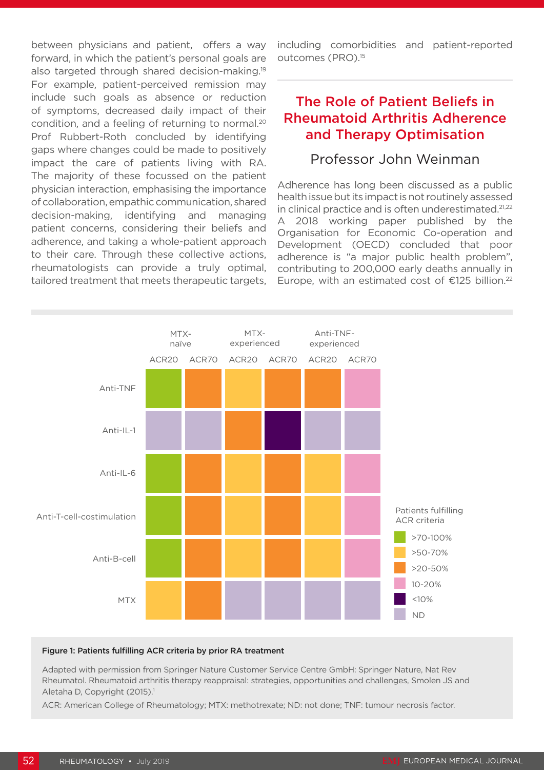between physicians and patient, offers a way forward, in which the patient's personal goals are also targeted through shared decision-making.19 For example, patient-perceived remission may include such goals as absence or reduction of symptoms, decreased daily impact of their condition, and a feeling of returning to normal.20 Prof Rubbert-Roth concluded by identifying gaps where changes could be made to positively impact the care of patients living with RA. The majority of these focussed on the patient physician interaction, emphasising the importance of collaboration, empathic communication, shared decision-making, identifying and managing patient concerns, considering their beliefs and adherence, and taking a whole-patient approach to their care. Through these collective actions, rheumatologists can provide a truly optimal, tailored treatment that meets therapeutic targets, including comorbidities and patient-reported outcomes (PRO).<sup>15</sup>

## The Role of Patient Beliefs in Rheumatoid Arthritis Adherence and Therapy Optimisation

#### Professor John Weinman

Adherence has long been discussed as a public health issue but its impact is not routinely assessed in clinical practice and is often underestimated.<sup>21,22</sup> A 2018 working paper published by the Organisation for Economic Co-operation and Development (OECD) concluded that poor adherence is "a major public health problem", contributing to 200,000 early deaths annually in Europe, with an estimated cost of  $\epsilon$ 125 billion.<sup>22</sup>



#### Figure 1: Patients fulfilling ACR criteria by prior RA treatment

Adapted with permission from Springer Nature Customer Service Centre GmbH: Springer Nature, Nat Rev Rheumatol. Rheumatoid arthritis therapy reappraisal: strategies, opportunities and challenges, Smolen JS and Aletaha D, Copyright (2015).<sup>1</sup>

ACR: American College of Rheumatology; MTX: methotrexate; ND: not done; TNF: tumour necrosis factor.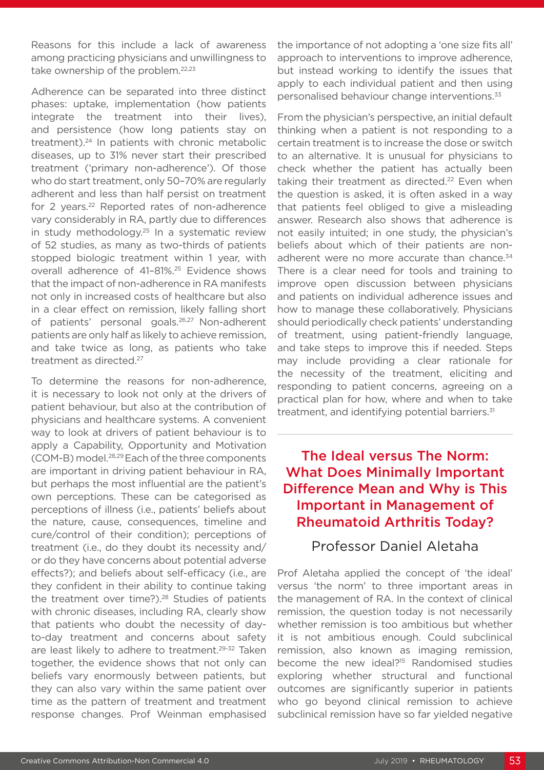Reasons for this include a lack of awareness among practicing physicians and unwillingness to take ownership of the problem.<sup>22,23</sup>

Adherence can be separated into three distinct phases: uptake, implementation (how patients integrate the treatment into their lives), and persistence (how long patients stay on treatment).24 In patients with chronic metabolic diseases, up to 31% never start their prescribed treatment ('primary non-adherence'). Of those who do start treatment, only 50–70% are regularly adherent and less than half persist on treatment for 2 years.<sup>22</sup> Reported rates of non-adherence vary considerably in RA, partly due to differences in study methodology.25 In a systematic review of 52 studies, as many as two-thirds of patients stopped biologic treatment within 1 year, with overall adherence of 41–81%.25 Evidence shows that the impact of non-adherence in RA manifests not only in increased costs of healthcare but also in a clear effect on remission, likely falling short of patients' personal goals.26,27 Non-adherent patients are only half as likely to achieve remission, and take twice as long, as patients who take treatment as directed.<sup>27</sup>

To determine the reasons for non-adherence, it is necessary to look not only at the drivers of patient behaviour, but also at the contribution of physicians and healthcare systems. A convenient way to look at drivers of patient behaviour is to apply a Capability, Opportunity and Motivation (COM-B) model.28,29 Each of the three components are important in driving patient behaviour in RA, but perhaps the most influential are the patient's own perceptions. These can be categorised as perceptions of illness (i.e., patients' beliefs about the nature, cause, consequences, timeline and cure/control of their condition); perceptions of treatment (i.e., do they doubt its necessity and/ or do they have concerns about potential adverse effects?); and beliefs about self-efficacy (i.e., are they confident in their ability to continue taking the treatment over time?).<sup>28</sup> Studies of patients with chronic diseases, including RA, clearly show that patients who doubt the necessity of dayto-day treatment and concerns about safety are least likely to adhere to treatment.<sup>29-32</sup> Taken together, the evidence shows that not only can beliefs vary enormously between patients, but they can also vary within the same patient over time as the pattern of treatment and treatment response changes. Prof Weinman emphasised

the importance of not adopting a 'one size fits all' approach to interventions to improve adherence, but instead working to identify the issues that apply to each individual patient and then using personalised behaviour change interventions.33

From the physician's perspective, an initial default thinking when a patient is not responding to a certain treatment is to increase the dose or switch to an alternative. It is unusual for physicians to check whether the patient has actually been taking their treatment as directed.<sup>22</sup> Even when the question is asked, it is often asked in a way that patients feel obliged to give a misleading answer. Research also shows that adherence is not easily intuited; in one study, the physician's beliefs about which of their patients are nonadherent were no more accurate than chance.<sup>34</sup> There is a clear need for tools and training to improve open discussion between physicians and patients on individual adherence issues and how to manage these collaboratively. Physicians should periodically check patients' understanding of treatment, using patient-friendly language, and take steps to improve this if needed. Steps may include providing a clear rationale for the necessity of the treatment, eliciting and responding to patient concerns, agreeing on a practical plan for how, where and when to take treatment, and identifying potential barriers.<sup>31</sup>

# The Ideal versus The Norm: What Does Minimally Important Difference Mean and Why is This Important in Management of Rheumatoid Arthritis Today?

#### Professor Daniel Aletaha

Prof Aletaha applied the concept of 'the ideal' versus 'the norm' to three important areas in the management of RA. In the context of clinical remission, the question today is not necessarily whether remission is too ambitious but whether it is not ambitious enough. Could subclinical remission, also known as imaging remission, become the new ideal?15 Randomised studies exploring whether structural and functional outcomes are significantly superior in patients who go beyond clinical remission to achieve subclinical remission have so far yielded negative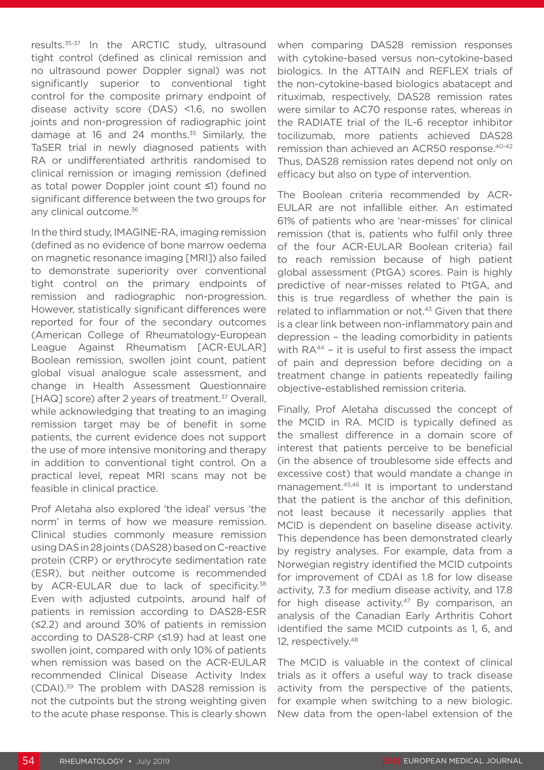results.35-37 In the ARCTIC study, ultrasound tight control (defined as clinical remission and no ultrasound power Doppler signal) was not significantly superior to conventional tight control for the composite primary endpoint of disease activity score (DAS) <1.6, no swollen joints and non-progression of radiographic joint damage at 16 and 24 months.<sup>35</sup> Similarly, the TaSER trial in newly diagnosed patients with RA or undifferentiated arthritis randomised to clinical remission or imaging remission (defined as total power Doppler joint count ≤1) found no significant difference between the two groups for any clinical outcome.<sup>36</sup>

In the third study, IMAGINE-RA, imaging remission (defined as no evidence of bone marrow oedema on magnetic resonance imaging [MRI]) also failed to demonstrate superiority over conventional tight control on the primary endpoints of remission and radiographic non-progression. However, statistically significant differences were reported for four of the secondary outcomes (American College of Rheumatology-European League Against Rheumatism [ACR-EULAR] Boolean remission, swollen joint count, patient global visual analogue scale assessment, and change in Health Assessment Questionnaire [HAQ] score) after 2 years of treatment.<sup>37</sup> Overall, while acknowledging that treating to an imaging remission target may be of benefit in some patients, the current evidence does not support the use of more intensive monitoring and therapy in addition to conventional tight control. On a practical level, repeat MRI scans may not be feasible in clinical practice.

Prof Aletaha also explored 'the ideal' versus 'the norm' in terms of how we measure remission. Clinical studies commonly measure remission using DAS in 28 joints (DAS28) based on C-reactive protein (CRP) or erythrocyte sedimentation rate (ESR), but neither outcome is recommended by ACR-EULAR due to lack of specificity.<sup>38</sup> Even with adjusted cutpoints, around half of patients in remission according to DAS28-ESR (≤2.2) and around 30% of patients in remission according to DAS28-CRP (≤1.9) had at least one swollen joint, compared with only 10% of patients when remission was based on the ACR-EULAR recommended Clinical Disease Activity Index (CDAI).39 The problem with DAS28 remission is not the cutpoints but the strong weighting given to the acute phase response. This is clearly shown

when comparing DAS28 remission responses with cytokine-based versus non-cytokine-based biologics. In the ATTAIN and REFLEX trials of the non-cytokine-based biologics abatacept and rituximab, respectively, DAS28 remission rates were similar to AC70 response rates, whereas in the RADIATE trial of the IL-6 receptor inhibitor tocilizumab, more patients achieved DAS28 remission than achieved an ACR50 response.40-42 Thus, DAS28 remission rates depend not only on efficacy but also on type of intervention.

The Boolean criteria recommended by ACR-EULAR are not infallible either. An estimated 61% of patients who are 'near-misses' for clinical remission (that is, patients who fulfil only three of the four ACR-EULAR Boolean criteria) fail to reach remission because of high patient global assessment (PtGA) scores. Pain is highly predictive of near-misses related to PtGA, and this is true regardless of whether the pain is related to inflammation or not.<sup>43</sup> Given that there is a clear link between non-inflammatory pain and depression – the leading comorbidity in patients with RA<sup>44</sup> - it is useful to first assess the impact of pain and depression before deciding on a treatment change in patients repeatedly failing objective-established remission criteria.

Finally, Prof Aletaha discussed the concept of the MCID in RA. MCID is typically defined as the smallest difference in a domain score of interest that patients perceive to be beneficial (in the absence of troublesome side effects and excessive cost) that would mandate a change in management.45,46 It is important to understand that the patient is the anchor of this definition, not least because it necessarily applies that MCID is dependent on baseline disease activity. This dependence has been demonstrated clearly by registry analyses. For example, data from a Norwegian registry identified the MCID cutpoints for improvement of CDAI as 1.8 for low disease activity, 7.3 for medium disease activity, and 17.8 for high disease activity.<sup>47</sup> By comparison, an analysis of the Canadian Early Arthritis Cohort identified the same MCID cutpoints as 1, 6, and 12, respectively.48

The MCID is valuable in the context of clinical trials as it offers a useful way to track disease activity from the perspective of the patients, for example when switching to a new biologic. New data from the open-label extension of the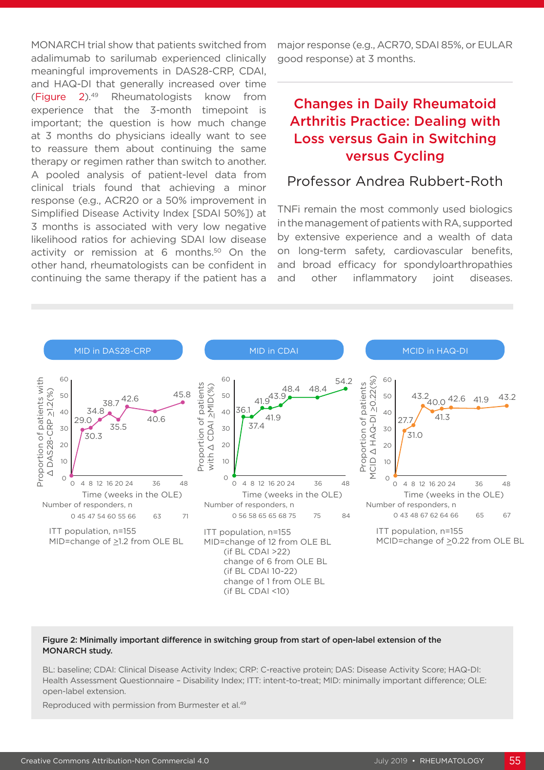MONARCH trial show that patients switched from adalimumab to sarilumab experienced clinically meaningful improvements in DAS28-CRP, CDAI, and HAQ-DI that generally increased over time (Figure 2).49 Rheumatologists know from experience that the 3-month timepoint is important; the question is how much change at 3 months do physicians ideally want to see to reassure them about continuing the same therapy or regimen rather than switch to another. A pooled analysis of patient-level data from clinical trials found that achieving a minor response (e.g., ACR20 or a 50% improvement in Simplified Disease Activity Index [SDAI 50%]) at 3 months is associated with very low negative likelihood ratios for achieving SDAI low disease activity or remission at 6 months.<sup>50</sup> On the other hand, rheumatologists can be confident in continuing the same therapy if the patient has a

major response (e.g., ACR70, SDAI 85%, or EULAR good response) at 3 months.

# Changes in Daily Rheumatoid Arthritis Practice: Dealing with Loss versus Gain in Switching versus Cycling

#### Professor Andrea Rubbert-Roth

TNFi remain the most commonly used biologics in the management of patients with RA, supported by extensive experience and a wealth of data on long-term safety, cardiovascular benefits, and broad efficacy for spondyloarthropathies and other inflammatory joint diseases.



#### Figure 2: Minimally important difference in switching group from start of open-label extension of the MONARCH study.

BL: baseline; CDAI: Clinical Disease Activity Index; CRP: C-reactive protein; DAS: Disease Activity Score; HAQ-DI: Health Assessment Questionnaire – Disability Index; ITT: intent-to-treat; MID: minimally important difference; OLE: open-label extension.

Reproduced with permission from Burmester et al.49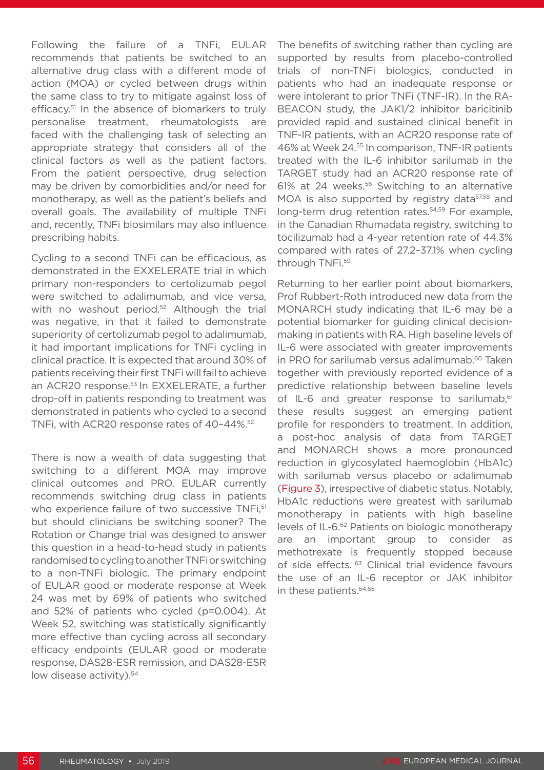Following the failure of a TNFi, EULAR recommends that patients be switched to an alternative drug class with a different mode of action (MOA) or cycled between drugs within the same class to try to mitigate against loss of efficacy.<sup>51</sup> In the absence of biomarkers to truly personalise treatment, rheumatologists are faced with the challenging task of selecting an appropriate strategy that considers all of the clinical factors as well as the patient factors. From the patient perspective, drug selection may be driven by comorbidities and/or need for monotherapy, as well as the patient's beliefs and overall goals. The availability of multiple TNFi and, recently, TNFi biosimilars may also influence prescribing habits.

Cycling to a second TNFi can be efficacious, as demonstrated in the EXXELERATE trial in which primary non-responders to certolizumab pegol were switched to adalimumab, and vice versa, with no washout period.<sup>52</sup> Although the trial was negative, in that it failed to demonstrate superiority of certolizumab pegol to adalimumab, it had important implications for TNFi cycling in clinical practice. It is expected that around 30% of patients receiving their first TNFi will fail to achieve an ACR20 response.<sup>53</sup> In EXXELERATE, a further drop-off in patients responding to treatment was demonstrated in patients who cycled to a second TNFi, with ACR20 response rates of 40-44%.<sup>52</sup>

There is now a wealth of data suggesting that switching to a different MOA may improve clinical outcomes and PRO. EULAR currently recommends switching drug class in patients who experience failure of two successive TNFi.<sup>51</sup> but should clinicians be switching sooner? The Rotation or Change trial was designed to answer this question in a head-to-head study in patients randomised to cycling to another TNFi or switching to a non-TNFi biologic. The primary endpoint of EULAR good or moderate response at Week 24 was met by 69% of patients who switched and 52% of patients who cycled (p=0.004). At Week 52, switching was statistically significantly more effective than cycling across all secondary efficacy endpoints (EULAR good or moderate response, DAS28-ESR remission, and DAS28-ESR low disease activity).<sup>54</sup>

The benefits of switching rather than cycling are supported by results from placebo-controlled trials of non-TNFi biologics, conducted in patients who had an inadequate response or were intolerant to prior TNFi (TNF-IR). In the RA-BEACON study, the JAK1/2 inhibitor baricitinib provided rapid and sustained clinical benefit in TNF-IR patients, with an ACR20 response rate of 46% at Week 24.55 In comparison, TNF-IR patients treated with the IL-6 inhibitor sarilumab in the TARGET study had an ACR20 response rate of 61% at 24 weeks.56 Switching to an alternative MOA is also supported by registry data<sup>57,58</sup> and long-term drug retention rates.<sup>54,59</sup> For example, in the Canadian Rhumadata registry, switching to tocilizumab had a 4-year retention rate of 44.3% compared with rates of 27.2–37.1% when cycling through TNFi.59

Returning to her earlier point about biomarkers, Prof Rubbert-Roth introduced new data from the MONARCH study indicating that IL-6 may be a potential biomarker for guiding clinical decisionmaking in patients with RA. High baseline levels of IL-6 were associated with greater improvements in PRO for sarilumab versus adalimumab.<sup>60</sup> Taken together with previously reported evidence of a predictive relationship between baseline levels of IL-6 and greater response to sarilumab,<sup>61</sup> these results suggest an emerging patient profile for responders to treatment. In addition, a post-hoc analysis of data from TARGET and MONARCH shows a more pronounced reduction in glycosylated haemoglobin (HbA1c) with sarilumab versus placebo or adalimumab (Figure 3), irrespective of diabetic status. Notably, HbA1c reductions were greatest with sarilumab monotherapy in patients with high baseline levels of IL-6.62 Patients on biologic monotherapy are an important group to consider as methotrexate is frequently stopped because of side effects. <sup>63</sup> Clinical trial evidence favours the use of an IL-6 receptor or JAK inhibitor in these patients.<sup>64,65</sup>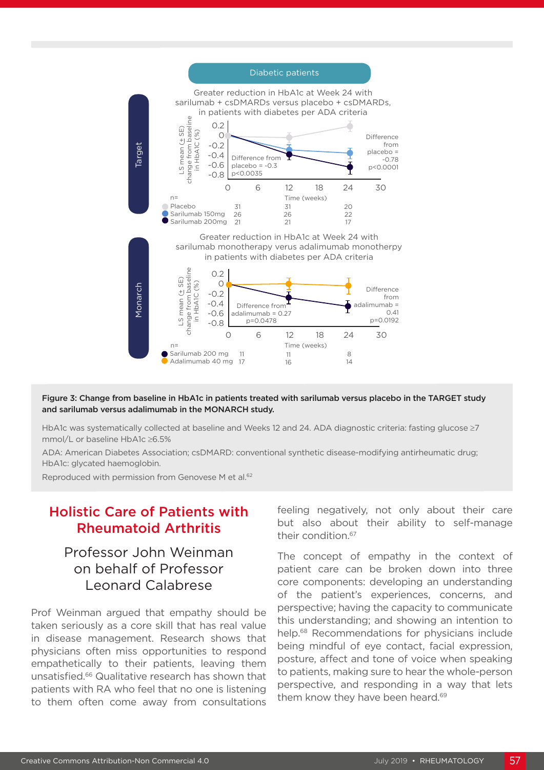

Figure 3: Change from baseline in HbA1c in patients treated with sarilumab versus placebo in the TARGET study and sarilumab versus adalimumab in the MONARCH study.

HbA1c was systematically collected at baseline and Weeks 12 and 24. ADA diagnostic criteria: fasting glucose ≥7 mmol/L or baseline HbA1c ≥6.5%

ADA: American Diabetes Association; csDMARD: conventional synthetic disease-modifying antirheumatic drug; HbA1c: glycated haemoglobin.

Reproduced with permission from Genovese M et al.<sup>62</sup>

### Holistic Care of Patients with Rheumatoid Arthritis

### Professor John Weinman on behalf of Professor Leonard Calabrese

Prof Weinman argued that empathy should be taken seriously as a core skill that has real value in disease management. Research shows that physicians often miss opportunities to respond empathetically to their patients, leaving them unsatisfied.66 Qualitative research has shown that patients with RA who feel that no one is listening to them often come away from consultations

feeling negatively, not only about their care but also about their ability to self-manage their condition.67

The concept of empathy in the context of patient care can be broken down into three core components: developing an understanding of the patient's experiences, concerns, and perspective; having the capacity to communicate this understanding; and showing an intention to help.68 Recommendations for physicians include being mindful of eye contact, facial expression, posture, affect and tone of voice when speaking to patients, making sure to hear the whole-person perspective, and responding in a way that lets them know they have been heard.<sup>69</sup>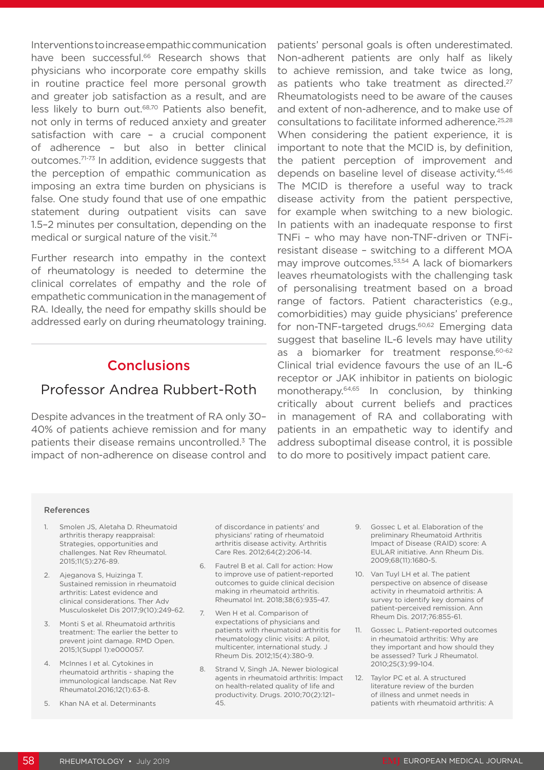Interventions to increase empathic communication have been successful.<sup>66</sup> Research shows that physicians who incorporate core empathy skills in routine practice feel more personal growth and greater job satisfaction as a result, and are less likely to burn out.68,70 Patients also benefit, not only in terms of reduced anxiety and greater satisfaction with care – a crucial component of adherence – but also in better clinical outcomes.71-73 In addition, evidence suggests that the perception of empathic communication as imposing an extra time burden on physicians is false. One study found that use of one empathic statement during outpatient visits can save 1.5–2 minutes per consultation, depending on the medical or surgical nature of the visit.<sup>74</sup>

Further research into empathy in the context of rheumatology is needed to determine the clinical correlates of empathy and the role of empathetic communication in the management of RA. Ideally, the need for empathy skills should be addressed early on during rheumatology training.

#### **Conclusions**

#### Professor Andrea Rubbert-Roth

Despite advances in the treatment of RA only 30– 40% of patients achieve remission and for many patients their disease remains uncontrolled.3 The impact of non-adherence on disease control and patients' personal goals is often underestimated. Non-adherent patients are only half as likely to achieve remission, and take twice as long, as patients who take treatment as directed.<sup>27</sup> Rheumatologists need to be aware of the causes and extent of non-adherence, and to make use of consultations to facilitate informed adherence.25,28 When considering the patient experience, it is important to note that the MCID is, by definition, the patient perception of improvement and depends on baseline level of disease activity.<sup>45,46</sup> The MCID is therefore a useful way to track disease activity from the patient perspective, for example when switching to a new biologic. In patients with an inadequate response to first TNFi – who may have non-TNF-driven or TNFiresistant disease – switching to a different MOA may improve outcomes.<sup>53,54</sup> A lack of biomarkers leaves rheumatologists with the challenging task of personalising treatment based on a broad range of factors. Patient characteristics (e.g., comorbidities) may guide physicians' preference for non-TNF-targeted drugs.<sup>60,62</sup> Emerging data suggest that baseline IL-6 levels may have utility as a biomarker for treatment response.<sup>60-62</sup> Clinical trial evidence favours the use of an IL-6 receptor or JAK inhibitor in patients on biologic monotherapy.64,65 In conclusion, by thinking critically about current beliefs and practices in management of RA and collaborating with patients in an empathetic way to identify and address suboptimal disease control, it is possible to do more to positively impact patient care.

#### References

- 1. Smolen JS, Aletaha D. Rheumatoid arthritis therapy reappraisal: Strategies, opportunities and challenges. Nat Rev Rheumatol. 2015;11(5):276-89.
- 2. Ajeganova S, Huizinga T. Sustained remission in rheumatoid arthritis: Latest evidence and clinical considerations. Ther Adv Musculoskelet Dis 2017;9(10):249-62.
- 3. Monti S et al. Rheumatoid arthritis treatment: The earlier the better to prevent joint damage. RMD Open. 2015;1(Suppl 1):e000057.
- 4. McInnes I et al. Cytokines in rheumatoid arthritis - shaping the immunological landscape. Nat Rev Rheumatol.2016;12(1):63-8.
- 5. Khan NA et al. Determinants

of discordance in patients' and physicians' rating of rheumatoid arthritis disease activity. Arthritis Care Res. 2012;64(2):206-14.

- 6. Fautrel B et al. Call for action: How to improve use of patient-reported outcomes to guide clinical decision making in rheumatoid arthritis. Rheumatol Int. 2018;38(6):935-47.
- 7. Wen H et al. Comparison of expectations of physicians and patients with rheumatoid arthritis for rheumatology clinic visits: A pilot, multicenter, international study. J Rheum Dis. 2012;15(4):380-9.
- 8. Strand V, Singh JA. Newer biological agents in rheumatoid arthritis: Impact on health-related quality of life and productivity. Drugs. 2010;70(2):121– 45.
- 9. Gossec L et al. Elaboration of the preliminary Rheumatoid Arthritis Impact of Disease (RAID) score: A EULAR initiative. Ann Rheum Dis. 2009;68(11):1680-5.
- 10. Van Tuyl LH et al. The patient perspective on absence of disease activity in rheumatoid arthritis: A survey to identify key domains of patient-perceived remission. Ann Rheum Dis. 2017;76:855-61.
- 11. Gossec L. Patient-reported outcomes in rheumatoid arthritis: Why are they important and how should they be assessed? Turk J Rheumatol. 2010;25(3):99-104.
- 12. Taylor PC et al. A structured literature review of the burden of illness and unmet needs in patients with rheumatoid arthritis: A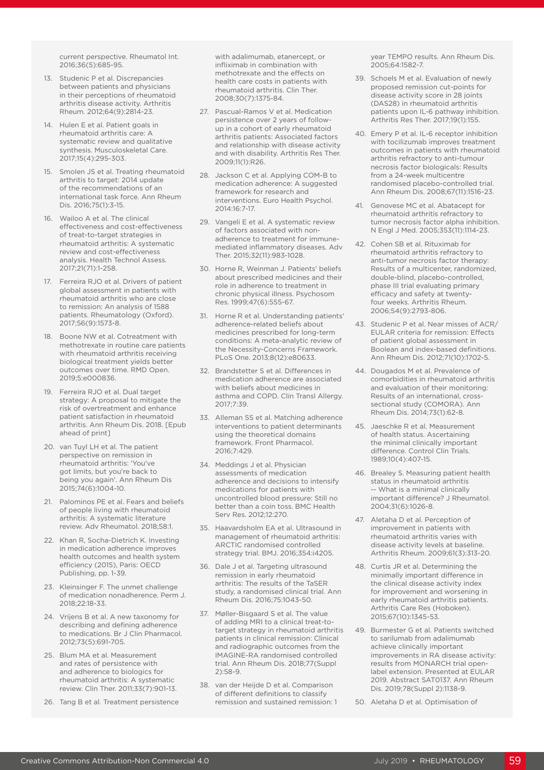current perspective. Rheumatol Int. 2016;36(5):685-95.

- 13. Studenic P et al. Discrepancies between patients and physicians in their perceptions of rheumatoid arthritis disease activity. Arthritis Rheum. 2012;64(9):2814-23.
- 14. Hulen E et al. Patient goals in rheumatoid arthritis care: A systematic review and qualitative synthesis. Musculoskeletal Care. 2017;15(4):295-303.
- 15. Smolen JS et al. Treating rheumatoid arthritis to target: 2014 update of the recommendations of an international task force. Ann Rheum Dis. 2016;75(1):3-15.
- 16. Wailoo A et al. The clinical effectiveness and cost-effectiveness of treat-to-target strategies in rheumatoid arthritis: A systematic review and cost-effectiveness analysis. Health Technol Assess. 2017;21(71):1-258.
- 17. Ferreira RJO et al. Drivers of patient global assessment in patients with rheumatoid arthritis who are close to remission: An analysis of 1588 patients. Rheumatology (Oxford). 2017;56(9):1573-8.
- 18. Boone NW et al. Cotreatment with methotrexate in routine care patients with rheumatoid arthritis receiving biological treatment yields better outcomes over time. RMD Open. 2019;5:e000836.
- 19. Ferreira RJO et al. Dual target strategy: A proposal to mitigate the risk of overtreatment and enhance patient satisfaction in rheumatoid arthritis. Ann Rheum Dis. 2018. [Epub ahead of print]
- 20. van Tuyl LH et al. The patient perspective on remission in rheumatoid arthritis: 'You've got limits, but you're back to being you again'. Ann Rheum Dis 2015;74(6):1004-10.
- 21. Palominos PE et al. Fears and beliefs of people living with rheumatoid arthritis: A systematic literature review. Adv Rheumatol. 2018;58:1.
- 22. Khan R, Socha-Dietrich K. Investing in medication adherence improves health outcomes and health system efficiency (2015), Paris: OECD Publishing, pp. 1-39.
- 23. Kleinsinger F. The unmet challenge of medication nonadherence. Perm J. 2018;22:18-33.
- 24. Vrijens B et al. A new taxonomy for describing and defining adherence to medications. Br J Clin Pharmacol. 2012;73(5):691-705.
- 25. Blum MA et al. Measurement and rates of persistence with and adherence to biologics for rheumatoid arthritis: A systematic review. Clin Ther. 2011;33(7):901-13.
- 26. Tang B et al. Treatment persistence

with adalimumab, etanercept, or infliximab in combination with methotrexate and the effects on health care costs in patients with rheumatoid arthritis. Clin Ther. 2008;30(7):1375-84.

- 27. Pascual-Ramos V et al. Medication persistence over 2 years of followup in a cohort of early rheumatoid arthritis patients: Associated factors and relationship with disease activity and with disability. Arthritis Res Ther. 2009;11(1):R26.
- 28. Jackson C et al. Applying COM-B to medication adherence: A suggested framework for research and interventions. Euro Health Psychol. 2014:16:7-17.
- 29. Vangeli E et al. A systematic review of factors associated with nonadherence to treatment for immunemediated inflammatory diseases. Adv Ther. 2015;32(11):983-1028.
- 30. Horne R, Weinman J. Patients' beliefs about prescribed medicines and their role in adherence to treatment in chronic physical illness. Psychosom Res. 1999;47(6):555-67.
- 31. Horne R et al. Understanding patients' adherence-related beliefs about medicines prescribed for long-term conditions: A meta-analytic review of the Necessity-Concerns Framework. PLoS One. 2013;8(12):e80633.
- 32. Brandstetter S et al. Differences in medication adherence are associated with beliefs about medicines in asthma and COPD. Clin Transl Allergy.  $2017.7.79$
- 33. Alleman SS et al. Matching adherence interventions to patient determinants using the theoretical domains framework. Front Pharmacol. 2016;7:429.
- 34. Meddings J et al. Physician assessments of medication adherence and decisions to intensify medications for patients with uncontrolled blood pressure: Still no better than a coin toss. BMC Health Serv Res. 2012;12:270.
- 35. Haavardsholm EA et al. Ultrasound in management of rheumatoid arthritis: ARCTIC randomised controlled strategy trial. BMJ. 2016;354:i4205.
- 36. Dale J et al. Targeting ultrasound remission in early rheumatoid arthritis: The results of the TaSER study, a randomised clinical trial. Ann Rheum Dis. 2016;75:1043-50.
- 37. Møller-Bisgaard S et al. The value of adding MRI to a clinical treat-totarget strategy in rheumatoid arthritis patients in clinical remission: Clinical and radiographic outcomes from the IMAGINE-RA randomised controlled trial. Ann Rheum Dis. 2018;77(Suppl 2):58-9.
- 38. van der Heijde D et al. Comparison of different definitions to classify remission and sustained remission: 1

year TEMPO results. Ann Rheum Dis. 2005;64:1582-7.

- 39. Schoels M et al. Evaluation of newly proposed remission cut-points for disease activity score in 28 joints (DAS28) in rheumatoid arthritis patients upon IL-6 pathway inhibition. Arthritis Res Ther. 2017;19(1):155.
- 40. Emery P et al. IL-6 receptor inhibition with tocilizumab improves treatment outcomes in patients with rheumatoid arthritis refractory to anti-tumour necrosis factor biologicals: Results from a 24-week multicentre randomised placebo-controlled trial. Ann Rheum Dis. 2008;67(11):1516-23.
- 41. Genovese MC et al. Abatacept for rheumatoid arthritis refractory to tumor necrosis factor alpha inhibition. N Engl J Med. 2005;353(11):1114-23.
- 42. Cohen SB et al. Rituximab for rheumatoid arthritis refractory to anti-tumor necrosis factor therapy: Results of a multicenter, randomized, double-blind, placebo-controlled, phase III trial evaluating primary efficacy and safety at twentyfour weeks. Arthritis Rheum. 2006;54(9):2793-806.
- 43. Studenic P et al. Near misses of ACR/ EULAR criteria for remission: Effects of patient global assessment in Boolean and index-based definitions. Ann Rheum Dis. 2012;71(10):1702-5.
- 44. Dougados M et al. Prevalence of comorbidities in rheumatoid arthritis and evaluation of their monitoring: Results of an international, crosssectional study (COMORA). Ann Rheum Dis. 2014;73(1):62-8.
- 45. Jaeschke R et al. Measurement of health status. Ascertaining the minimal clinically important difference. Control Clin Trials. 1989;10(4):407-15.
- 46. Brealey S. Measuring patient health status in rheumatoid arthritis -- What is a minimal clinically important difference? J Rheumatol. 2004;31(6):1026-8.
- 47. Aletaha D et al. Perception of improvement in patients with rheumatoid arthritis varies with disease activity levels at baseline. Arthritis Rheum. 2009;61(3):313-20.
- 48. Curtis JR et al. Determining the minimally important difference in the clinical disease activity index for improvement and worsening in early rheumatoid arthritis patients. Arthritis Care Res (Hoboken). 2015;67(10):1345-53.
- 49. Burmester G et al. Patients switched to sarilumab from adalimumab achieve clinically important improvements in RA disease activity: results from MONARCH trial openlabel extension. Presented at EULAR 2019. Abstract SAT0137. Ann Rheum Dis. 2019;78(Suppl 2):1138-9.
- 50. Aletaha D et al. Optimisation of